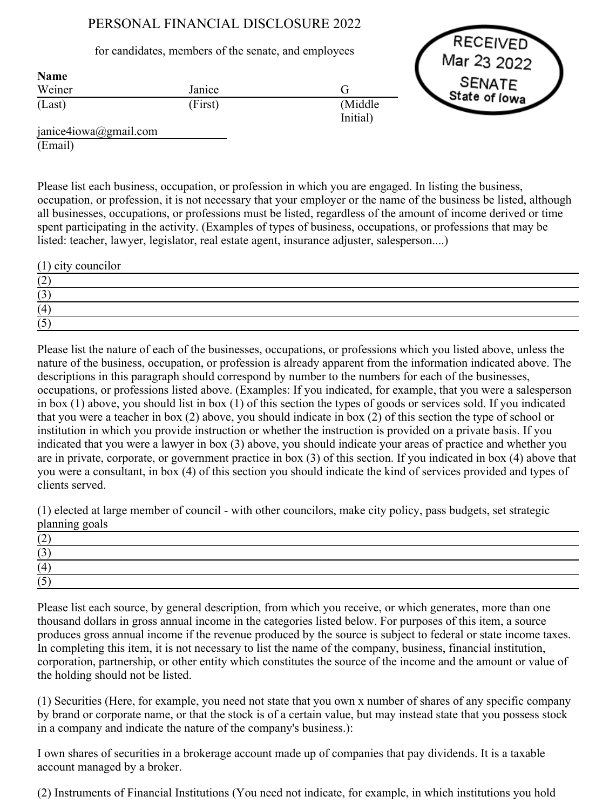## PERSONAL FINANCIAL DISCLOSURE 2022

## for candidates, members of the senate, and employees

Janice (First) G (Middle Initial)



janice4iowa@gmail.com (Email)

Weiner (Last)

Name

Please list each business, occupation, or profession in which you are engaged. In listing the business, occupation, or profession, it is not necessary that your employer or the name of the business be listed, although all businesses, occupations, or professions must be listed, regardless of the amount of income derived or time spent participating in the activity. (Examples of types of business, occupations, or professions that may be listed: teacher, lawyer, legislator, real estate agent, insurance adjuster, salesperson....)

| $(1)$ city councilor |  |
|----------------------|--|
| $\sqrt{2}$<br>ॱ∸     |  |
| $\sim$<br>1 J        |  |
| (4)                  |  |
|                      |  |

Please list the nature of each of the businesses, occupations, or professions which you listed above, unless the nature of the business, occupation, or profession is already apparent from the information indicated above. The descriptions in this paragraph should correspond by number to the numbers for each of the businesses, occupations, or professions listed above. (Examples: If you indicated, for example, that you were a salesperson in box (1) above, you should list in box (1) of this section the types of goods or services sold. If you indicated that you were a teacher in box (2) above, you should indicate in box (2) of this section the type of school or institution in which you provide instruction or whether the instruction is provided on a private basis. If you indicated that you were a lawyer in box (3) above, you should indicate your areas of practice and whether you are in private, corporate, or government practice in box (3) of this section. If you indicated in box (4) above that you were a consultant, in box (4) of this section you should indicate the kind of services provided and types of clients served.

(1) elected at large member of council - with other councilors, make city policy, pass budgets, set strategic planning goals

| $\sim$                   |  |
|--------------------------|--|
| $\overline{\phantom{a}}$ |  |
|                          |  |
|                          |  |

Please list each source, by general description, from which you receive, or which generates, more than one thousand dollars in gross annual income in the categories listed below. For purposes of this item, a source produces gross annual income if the revenue produced by the source is subject to federal or state income taxes. In completing this item, it is not necessary to list the name of the company, business, financial institution, corporation, partnership, or other entity which constitutes the source of the income and the amount or value of the holding should not be listed.

(1) Securities (Here, for example, you need not state that you own x number of shares of any specific company by brand or corporate name, or that the stock is of a certain value, but may instead state that you possess stock in a company and indicate the nature of the company's business.):

I own shares of securities in a brokerage account made up of companies that pay dividends. It is a taxable account managed by a broker.

(2) Instruments of Financial Institutions (You need not indicate, for example, in which institutions you hold